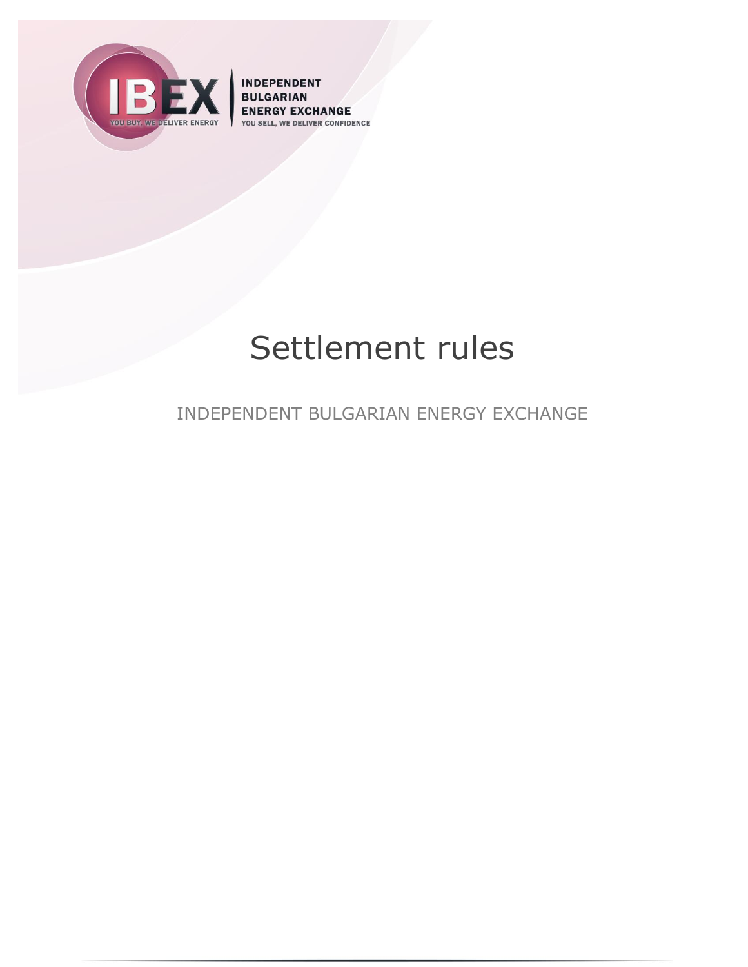

**INDEPENDENT BULGARIAN** ENERGY EXCHANGE DELIVER CONFIDENCE YOU SELL

# Settlement rules

INDEPENDENT BULGARIAN ENERGY EXCHANGE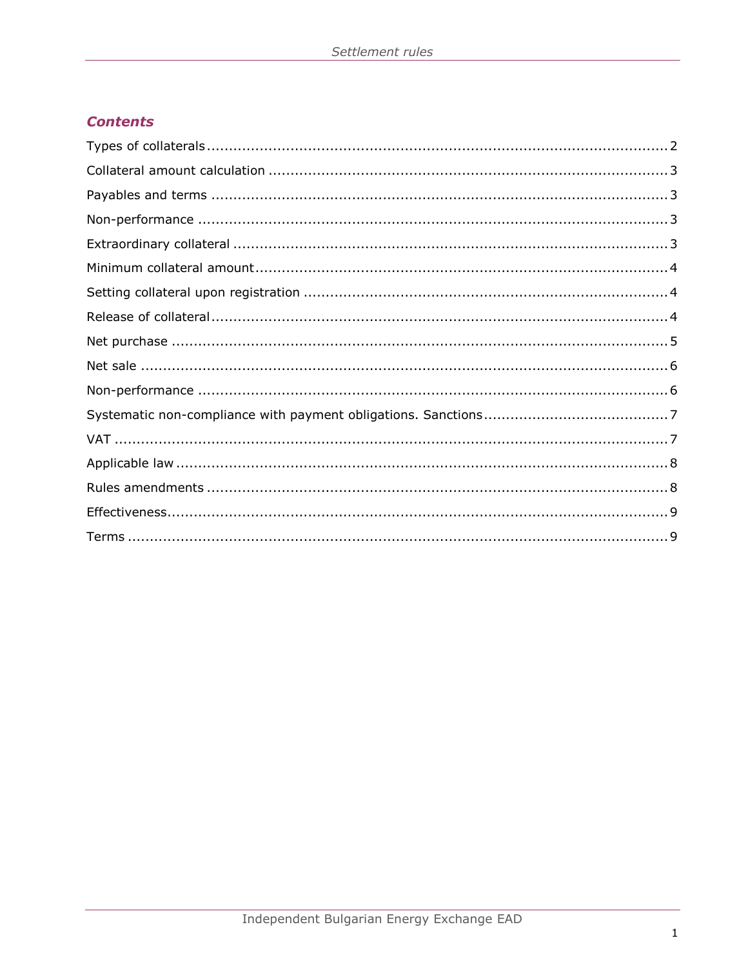# **Contents**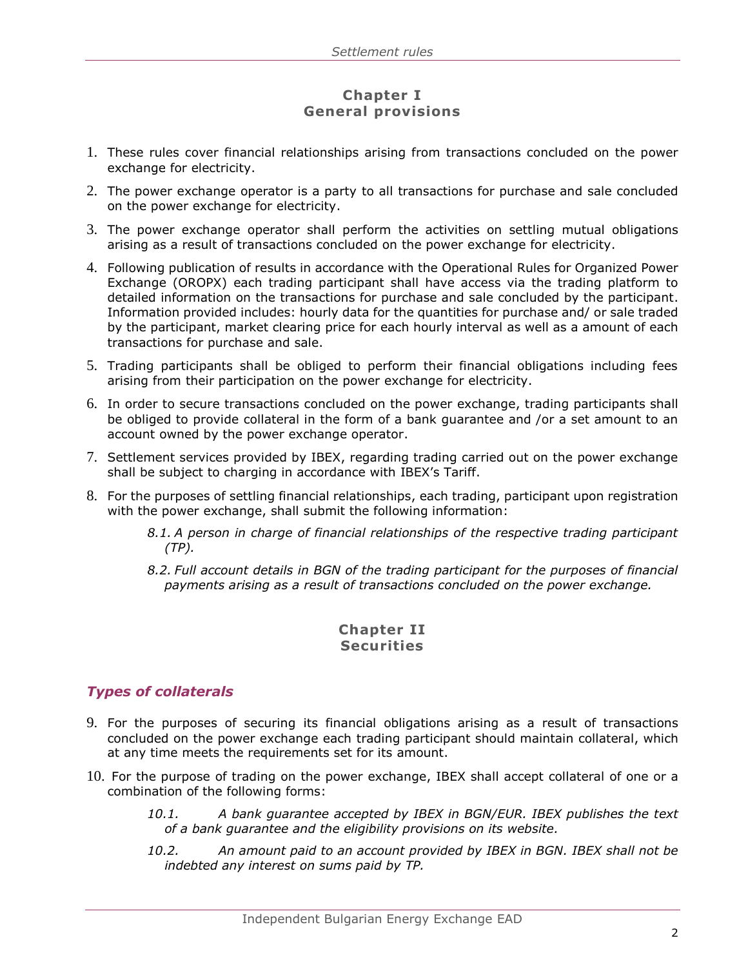## **Chapter I General provisions**

- 1. These rules cover financial relationships arising from transactions concluded on the power exchange for electricity.
- 2. The power exchange operator is a party to all transactions for purchase and sale concluded on the power exchange for electricity.
- 3. The power exchange operator shall perform the activities on settling mutual obligations arising as a result of transactions concluded on the power exchange for electricity.
- 4. Following publication of results in accordance with the Operational Rules for Organized Power Exchange (OROPX) each trading participant shall have access via the trading platform to detailed information on the transactions for purchase and sale concluded by the participant. Information provided includes: hourly data for the quantities for purchase and/ or sale traded by the participant, market clearing price for each hourly interval as well as a amount of each transactions for purchase and sale.
- 5. Trading participants shall be obliged to perform their financial obligations including fees arising from their participation on the power exchange for electricity.
- 6. In order to secure transactions concluded on the power exchange, trading participants shall be obliged to provide collateral in the form of a bank guarantee and /or a set amount to an account owned by the power exchange operator.
- 7. Settlement services provided by IBEX, regarding trading carried out on the power exchange shall be subject to charging in accordance with IBEX's Tariff.
- 8. For the purposes of settling financial relationships, each trading, participant upon registration with the power exchange, shall submit the following information:
	- *8.1. A person in charge of financial relationships of the respective trading participant (TP).*
	- *8.2. Full account details in BGN of the trading participant for the purposes of financial payments arising as a result of transactions concluded on the power exchange.*

## **Chapter II Securities**

## <span id="page-2-0"></span>*Types of collaterals*

- 9. For the purposes of securing its financial obligations arising as a result of transactions concluded on the power exchange each trading participant should maintain collateral, which at any time meets the requirements set for its amount.
- 10. For the purpose of trading on the power exchange, IBEX shall accept collateral of one or a combination of the following forms:
	- *10.1. A bank guarantee accepted by IBEX in BGN/EUR. IBEX publishes the text of a bank guarantee and the eligibility provisions on its website.*
	- *10.2. An amount paid to an account provided by IBEX in BGN. IBEX shall not be indebted any interest on sums paid by TP.*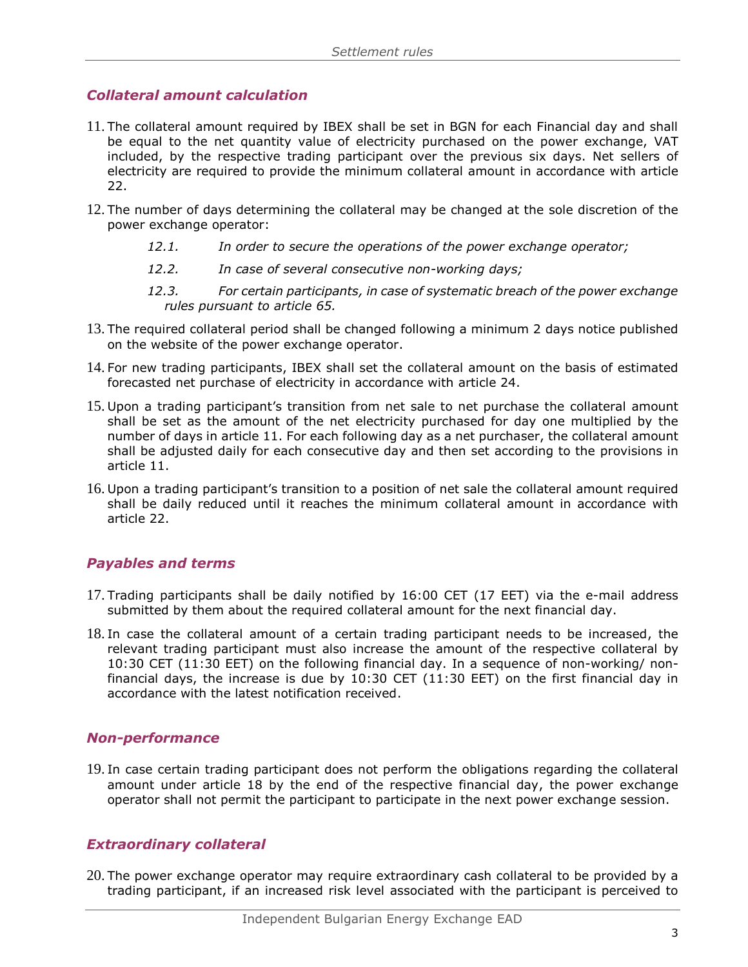## <span id="page-3-0"></span>*Collateral amount calculation*

- <span id="page-3-4"></span>11. The collateral amount required by IBEX shall be set in BGN for each Financial day and shall be equal to the net quantity value of electricity purchased on the power exchange, VAT included, by the respective trading participant over the previous six days. Net sellers of electricity are required to provide the minimum collateral amount in accordance with article [22.](#page-4-3)
- 12. The number of days determining the collateral may be changed at the sole discretion of the power exchange operator:
	- *12.1. In order to secure the operations of the power exchange operator;*
	- *12.2. In case of several consecutive non-working days;*
	- *12.3. For certain participants, in case of systematic breach of the power exchange rules pursuant to article [65.](#page-8-2)*
- 13. The required collateral period shall be changed following a minimum 2 days notice published on the website of the power exchange operator.
- 14. For new trading participants, IBEX shall set the collateral amount on the basis of estimated forecasted net purchase of electricity in accordance with article [24.](#page-4-4)
- 15. Upon a trading participant's transition from net sale to net purchase the collateral amount shall be set as the amount of the net electricity purchased for day one multiplied by the number of days in article [11.](#page-3-4) For each following day as a net purchaser, the collateral amount shall be adjusted daily for each consecutive day and then set according to the provisions in article [11.](#page-3-4)
- 16. Upon a trading participant's transition to a position of net sale the collateral amount required shall be daily reduced until it reaches the minimum collateral amount in accordance with article [22.](#page-4-3)

## <span id="page-3-1"></span>*Payables and terms*

- 17. Trading participants shall be daily notified by 16:00 CET (17 ЕЕТ) via the e-mail address submitted by them about the required collateral amount for the next financial day.
- 18. In case the collateral amount of a certain trading participant needs to be increased, the relevant trading participant must also increase the amount of the respective collateral by 10:30 CET (11:30 ЕЕТ) on the following financial day. In a sequence of non-working/ nonfinancial days, the increase is due by 10:30 CET (11:30 ЕЕТ) on the first financial day in accordance with the latest notification received.

#### <span id="page-3-2"></span>*Non-performance*

19. In case certain trading participant does not perform the obligations regarding the collateral amount under article 18 by the end of the respective financial day, the power exchange operator shall not permit the participant to participate in the next power exchange session.

## <span id="page-3-3"></span>*Extraordinary collateral*

20. The power exchange operator may require extraordinary cash collateral to be provided by a trading participant, if an increased risk level associated with the participant is perceived to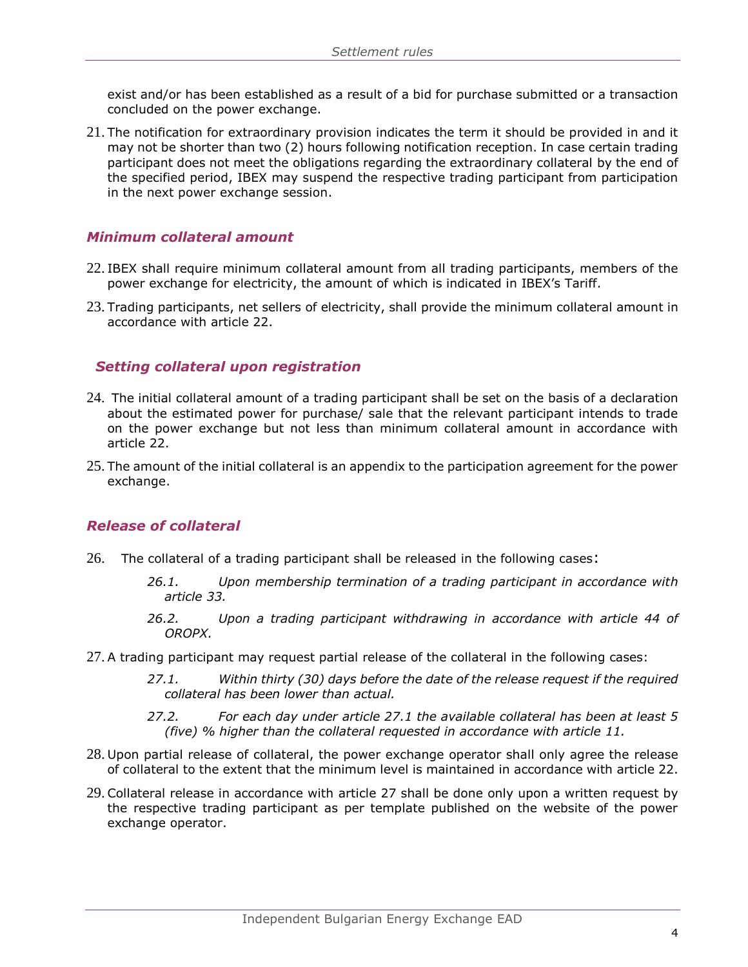exist and/or has been established as a result of a bid for purchase submitted or a transaction concluded on the power exchange.

21. The notification for extraordinary provision indicates the term it should be provided in and it may not be shorter than two (2) hours following notification reception. In case certain trading participant does not meet the obligations regarding the extraordinary collateral by the end of the specified period, IBEX may suspend the respective trading participant from participation in the next power exchange session.

### <span id="page-4-0"></span>*Minimum collateral amount*

- <span id="page-4-3"></span>22. IBEX shall require minimum collateral amount from all trading participants, members of the power exchange for electricity, the amount of which is indicated in IBEX's Tariff.
- 23. Trading participants, net sellers of electricity, shall provide the minimum collateral amount in accordance with article [22.](#page-4-3)

### <span id="page-4-1"></span> *Setting collateral upon registration*

- <span id="page-4-4"></span>24. The initial collateral amount of a trading participant shall be set on the basis of a declaration about the estimated power for purchase/ sale that the relevant participant intends to trade on the power exchange but not less than minimum collateral amount in accordance with article [22.](#page-4-3)
- 25. The amount of the initial collateral is an appendix to the participation agreement for the power exchange.

#### <span id="page-4-2"></span>*Release of collateral*

- 26. The collateral of a trading participant shall be released in the following cases:
	- *26.1. Upon membership termination of a trading participant in accordance with article 33.*
	- *26.2. Upon a trading participant withdrawing in accordance with article 44 of OROPX.*
- <span id="page-4-6"></span><span id="page-4-5"></span>27. A trading participant may request partial release of the collateral in the following cases:
	- *27.1. Within thirty (30) days before the date of the release request if the required collateral has been lower than actual.*
	- *27.2. For each day under article [27.1](#page-4-5) the available collateral has been at least 5 (five) % higher than the collateral requested in accordance with article [11.](#page-3-4)*
- 28. Upon partial release of collateral, the power exchange operator shall only agree the release of collateral to the extent that the minimum level is maintained in accordance with article [22.](#page-4-3)
- 29. Collateral release in accordance with article [27](#page-4-6) shall be done only upon a written request by the respective trading participant as per template published on the website of the power exchange operator.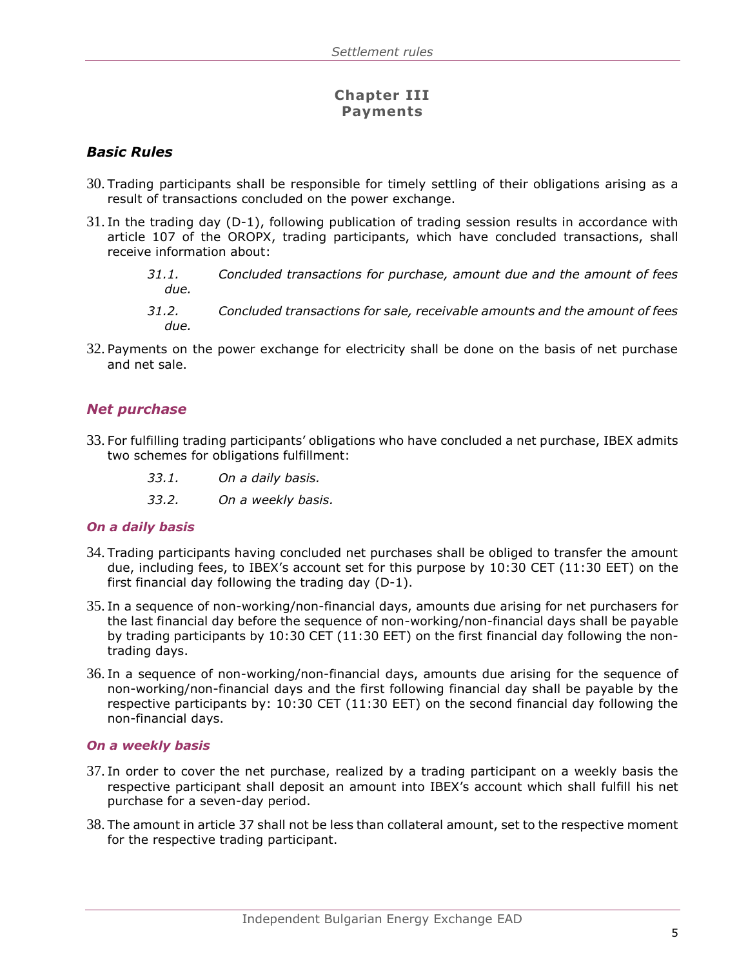## **Chapter III Payments**

## *Basic Rules*

- 30. Trading participants shall be responsible for timely settling of their obligations arising as a result of transactions concluded on the power exchange.
- 31. In the trading day (D-1), following publication of trading session results in accordance with article 107 of the OROPX, trading participants, which have concluded transactions, shall receive information about:
	- *31.1. Concluded transactions for purchase, amount due and the amount of fees due.*
	- *31.2. Concluded transactions for sale, receivable amounts and the amount of fees due.*
- 32. Payments on the power exchange for electricity shall be done on the basis of net purchase and net sale.

## <span id="page-5-0"></span>*Net purchase*

- 33. For fulfilling trading participants' obligations who have concluded a net purchase, IBEX admits two schemes for obligations fulfillment:
	- *33.1. On a daily basis.*
	- *33.2. On a weekly basis.*

#### *On a daily basis*

- <span id="page-5-2"></span>34. Trading participants having concluded net purchases shall be obliged to transfer the amount due, including fees, to IBEX's account set for this purpose by 10:30 CET (11:30 ЕЕТ) on the first financial day following the trading day (D-1).
- <span id="page-5-3"></span>35. In a sequence of non-working/non-financial days, amounts due arising for net purchasers for the last financial day before the sequence of non-working/non-financial days shall be payable by trading participants by 10:30 CET (11:30 ЕЕТ) on the first financial day following the nontrading days.
- <span id="page-5-4"></span>36. In a sequence of non-working/non-financial days, amounts due arising for the sequence of non-working/non-financial days and the first following financial day shall be payable by the respective participants by: 10:30 CET (11:30 EET) on the second financial day following the non-financial days.

#### *On a weekly basis*

- <span id="page-5-1"></span>37. In order to cover the net purchase, realized by a trading participant on a weekly basis the respective participant shall deposit an amount into IBEX's account which shall fulfill his net purchase for a seven-day period.
- 38. The amount in article [37](#page-5-1) shall not be less than collateral amount, set to the respective moment for the respective trading participant.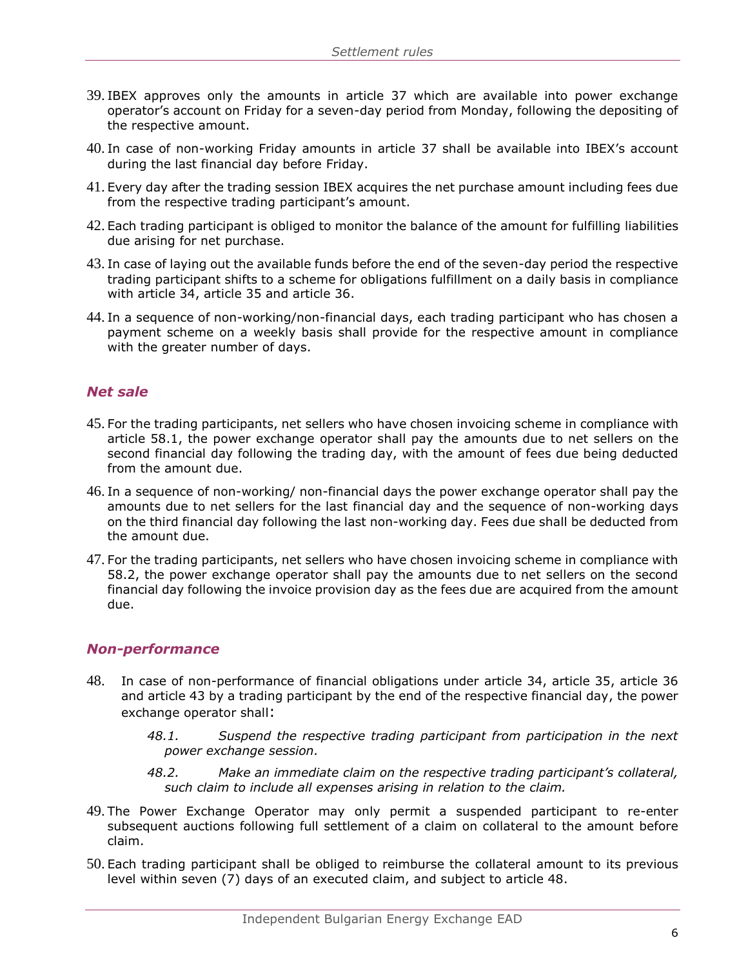- 39. IBEX approves only the amounts in article [37](#page-5-1) which are available into power exchange operator's account on Friday for a seven-day period from Monday, following the depositing of the respective amount.
- 40. In case of non-working Friday amounts in article [37](#page-5-1) shall be available into IBEX's account during the last financial day before Friday.
- 41. Every day after the trading session IBEX acquires the net purchase amount including fees due from the respective trading participant's amount.
- 42. Each trading participant is obliged to monitor the balance of the amount for fulfilling liabilities due arising for net purchase.
- <span id="page-6-2"></span>43. In case of laying out the available funds before the end of the seven-day period the respective trading participant shifts to a scheme for obligations fulfillment on a daily basis in compliance with article [34,](#page-5-2) article [35](#page-5-3) and article [36.](#page-5-4)
- 44. In a sequence of non-working/non-financial days, each trading participant who has chosen a payment scheme on a weekly basis shall provide for the respective amount in compliance with the greater number of days.

#### <span id="page-6-0"></span>*Net sale*

- 45. For the trading participants, net sellers who have chosen invoicing scheme in compliance with article [58.1,](#page-7-2) the power exchange operator shall pay the amounts due to net sellers on the second financial day following the trading day, with the amount of fees due being deducted from the amount due.
- 46. In a sequence of non-working/ non-financial days the power exchange operator shall pay the amounts due to net sellers for the last financial day and the sequence of non-working days on the third financial day following the last non-working day. Fees due shall be deducted from the amount due.
- 47. For the trading participants, net sellers who have chosen invoicing scheme in compliance with [58.2,](#page-7-3) the power exchange operator shall pay the amounts due to net sellers on the second financial day following the invoice provision day as the fees due are acquired from the amount due.

#### <span id="page-6-1"></span>*Non-performance*

- <span id="page-6-3"></span>48. In case of non-performance of financial obligations under article [34,](#page-5-2) article [35,](#page-5-3) article [36](#page-5-4) and article [43](#page-6-2) by a trading participant by the end of the respective financial day, the power exchange operator shall:
	- *48.1. Suspend the respective trading participant from participation in the next power exchange session.*
	- *48.2. Make an immediate claim on the respective trading participant's collateral, such claim to include all expenses arising in relation to the claim.*
- 49. The Power Exchange Operator may only permit a suspended participant to re-enter subsequent auctions following full settlement of a claim on collateral to the amount before claim.
- <span id="page-6-4"></span>50. Each trading participant shall be obliged to reimburse the collateral amount to its previous level within seven (7) days of an executed claim, and subject to article [48.](#page-6-3)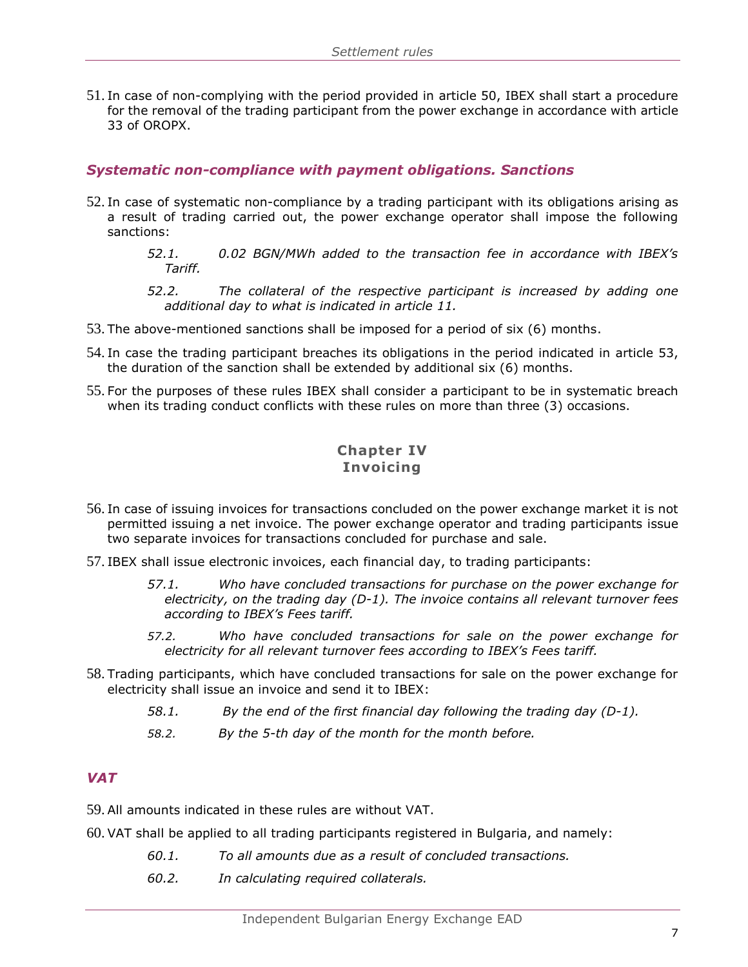51. In case of non-complying with the period provided in article [50,](#page-6-4) IBEX shall start a procedure for the removal of the trading participant from the power exchange in accordance with article 33 of OROPX.

#### <span id="page-7-0"></span>*Systematic non-compliance with payment obligations. Sanctions*

- 52. In case of systematic non-compliance by a trading participant with its obligations arising as a result of trading carried out, the power exchange operator shall impose the following sanctions:
	- *52.1. 0.02 BGN/MWh added to the transaction fee in accordance with IBEX's Tariff.*
	- *52.2. The collateral of the respective participant is increased by adding one additional day to what is indicated in article [11.](#page-3-4)*
- <span id="page-7-4"></span>53. The above-mentioned sanctions shall be imposed for a period of six (6) months.
- 54. In case the trading participant breaches its obligations in the period indicated in article [53,](#page-7-4) the duration of the sanction shall be extended by additional six (6) months.
- 55. For the purposes of these rules IBEX shall consider a participant to be in systematic breach when its trading conduct conflicts with these rules on more than three (3) occasions.

## **Chapter IV Invoicing**

- 56. In case of issuing invoices for transactions concluded on the power exchange market it is not permitted issuing a net invoice. The power exchange operator and trading participants issue two separate invoices for transactions concluded for purchase and sale.
- 57. IBEX shall issue electronic invoices, each financial day, to trading participants:
	- *57.1. Who have concluded transactions for purchase on the power exchange for electricity, on the trading day (D-1). The invoice contains all relevant turnover fees according to IBEX's Fees tariff.*
	- *57.2. Who have concluded transactions for sale on the power exchange for electricity for all relevant turnover fees according to IBEX's Fees tariff.*
- <span id="page-7-2"></span>58. Trading participants, which have concluded transactions for sale on the power exchange for electricity shall issue an invoice and send it to IBEX:
	- *58.1. By the end of the first financial day following the trading day (D-1).*
	- *58.2. By the 5-th day of the month for the month before.*

#### <span id="page-7-3"></span><span id="page-7-1"></span>*VAT*

- 59. All amounts indicated in these rules are without VAT.
- 60. VAT shall be applied to all trading participants registered in Bulgaria, and namely:
	- *60.1. To all amounts due as a result of concluded transactions.*
	- *60.2. In calculating required collaterals.*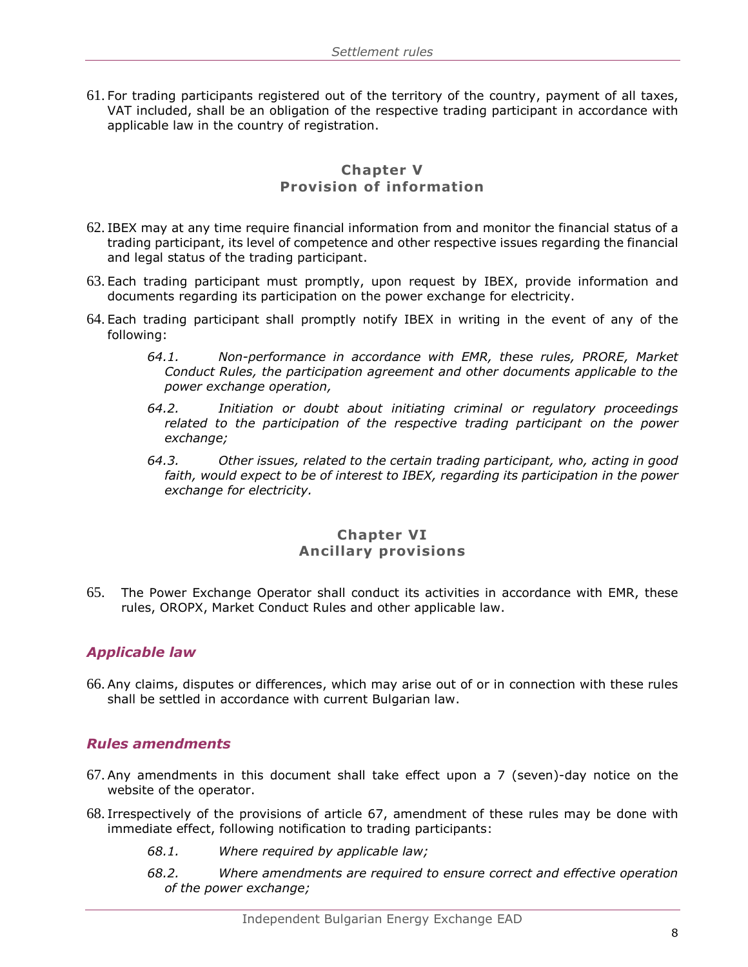61. For trading participants registered out of the territory of the country, payment of all taxes, VAT included, shall be an obligation of the respective trading participant in accordance with applicable law in the country of registration.

## **Chapter V Provision of information**

- 62. IBEX may at any time require financial information from and monitor the financial status of a trading participant, its level of competence and other respective issues regarding the financial and legal status of the trading participant.
- 63. Each trading participant must promptly, upon request by IBEX, provide information and documents regarding its participation on the power exchange for electricity.
- 64. Each trading participant shall promptly notify IBEX in writing in the event of any of the following:
	- *64.1. Non-performance in accordance with EMR, these rules, PRORE, Market Conduct Rules, the participation agreement and other documents applicable to the power exchange operation,*
	- *64.2. Initiation or doubt about initiating criminal or regulatory proceedings related to the participation of the respective trading participant on the power exchange;*
	- *64.3. Other issues, related to the certain trading participant, who, acting in good faith, would expect to be of interest to IBEX, regarding its participation in the power exchange for electricity.*

#### **Chapter VI Ancillary provisions**

<span id="page-8-2"></span>65. The Power Exchange Operator shall conduct its activities in accordance with EMR, these rules, OROPX, Market Conduct Rules and other applicable law.

## <span id="page-8-0"></span>*Applicable law*

66. Any claims, disputes or differences, which may arise out of or in connection with these rules shall be settled in accordance with current Bulgarian law.

#### <span id="page-8-1"></span>*Rules amendments*

- 67. Any amendments in this document shall take effect upon a 7 (seven)-day notice on the website of the operator.
- 68. Irrespectively of the provisions of article 67, amendment of these rules may be done with immediate effect, following notification to trading participants:
	- *68.1. Where required by applicable law;*
	- *68.2. Where amendments are required to ensure correct and effective operation of the power exchange;*